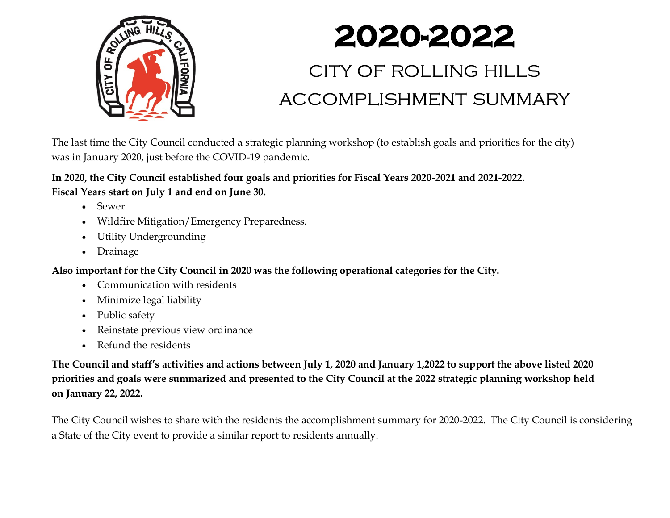

# **2020-2022**

## city of rolling hills accomplishment summary

The last time the City Council conducted a strategic planning workshop (to establish goals and priorities for the city) was in January 2020, just before the COVID-19 pandemic.

**In 2020, the City Council established four goals and priorities for Fiscal Years 2020-2021 and 2021-2022. Fiscal Years start on July 1 and end on June 30.** 

- Sewer.
- Wildfire Mitigation/Emergency Preparedness.
- Utility Undergrounding
- Drainage

**Also important for the City Council in 2020 was the following operational categories for the City.**

- Communication with residents
- Minimize legal liability
- Public safety
- Reinstate previous view ordinance
- Refund the residents

**The Council and staff's activities and actions between July 1, 2020 and January 1,2022 to support the above listed 2020 priorities and goals were summarized and presented to the City Council at the 2022 strategic planning workshop held on January 22, 2022.** 

The City Council wishes to share with the residents the accomplishment summary for 2020-2022. The City Council is considering a State of the City event to provide a similar report to residents annually.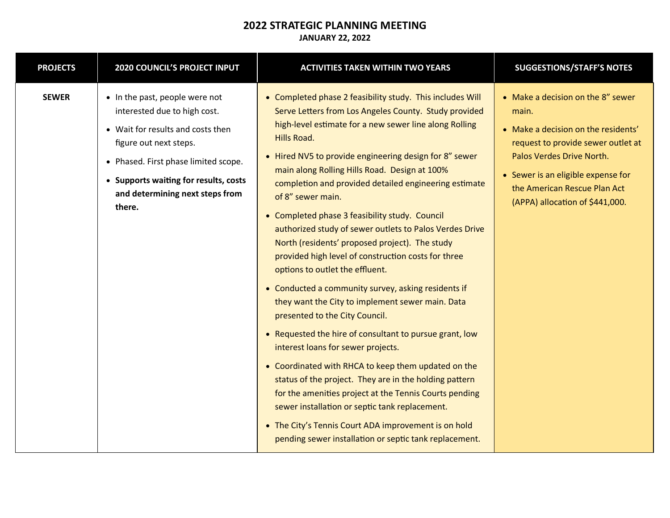#### **2022 STRATEGIC PLANNING MEETING JANUARY 22, 2022**

| <b>PROJECTS</b> | <b>2020 COUNCIL'S PROJECT INPUT</b>                                                                                                                                                                                                                         | <b>ACTIVITIES TAKEN WITHIN TWO YEARS</b>                                                                                                                                                                                                                                                                                                                                                                                                                                                                                                                                                                                                                                                                                                                                                                                                                                                                                                                                                                                                                                                                                                                                                                                                   | <b>SUGGESTIONS/STAFF'S NOTES</b>                                                                                                                                                                                                                              |
|-----------------|-------------------------------------------------------------------------------------------------------------------------------------------------------------------------------------------------------------------------------------------------------------|--------------------------------------------------------------------------------------------------------------------------------------------------------------------------------------------------------------------------------------------------------------------------------------------------------------------------------------------------------------------------------------------------------------------------------------------------------------------------------------------------------------------------------------------------------------------------------------------------------------------------------------------------------------------------------------------------------------------------------------------------------------------------------------------------------------------------------------------------------------------------------------------------------------------------------------------------------------------------------------------------------------------------------------------------------------------------------------------------------------------------------------------------------------------------------------------------------------------------------------------|---------------------------------------------------------------------------------------------------------------------------------------------------------------------------------------------------------------------------------------------------------------|
| <b>SEWER</b>    | • In the past, people were not<br>interested due to high cost.<br>• Wait for results and costs then<br>figure out next steps.<br>• Phased. First phase limited scope.<br>• Supports waiting for results, costs<br>and determining next steps from<br>there. | • Completed phase 2 feasibility study. This includes Will<br>Serve Letters from Los Angeles County. Study provided<br>high-level estimate for a new sewer line along Rolling<br>Hills Road.<br>• Hired NV5 to provide engineering design for 8" sewer<br>main along Rolling Hills Road. Design at 100%<br>completion and provided detailed engineering estimate<br>of 8" sewer main.<br>• Completed phase 3 feasibility study. Council<br>authorized study of sewer outlets to Palos Verdes Drive<br>North (residents' proposed project). The study<br>provided high level of construction costs for three<br>options to outlet the effluent.<br>• Conducted a community survey, asking residents if<br>they want the City to implement sewer main. Data<br>presented to the City Council.<br>• Requested the hire of consultant to pursue grant, low<br>interest loans for sewer projects.<br>• Coordinated with RHCA to keep them updated on the<br>status of the project. They are in the holding pattern<br>for the amenities project at the Tennis Courts pending<br>sewer installation or septic tank replacement.<br>• The City's Tennis Court ADA improvement is on hold<br>pending sewer installation or septic tank replacement. | • Make a decision on the 8" sewer<br>main.<br>• Make a decision on the residents'<br>request to provide sewer outlet at<br>Palos Verdes Drive North.<br>• Sewer is an eligible expense for<br>the American Rescue Plan Act<br>(APPA) allocation of \$441,000. |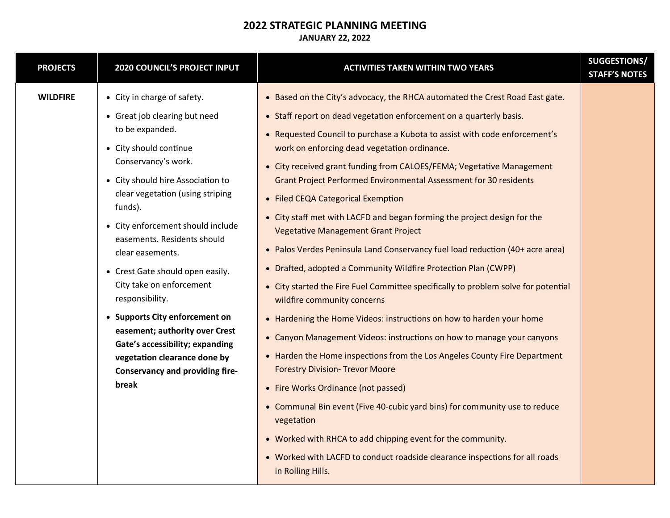| <b>PROJECTS</b> | 2020 COUNCIL'S PROJECT INPUT                                                                                                                                                                                                                                                                                                                                                                                                                                                                                                                                                              | <b>ACTIVITIES TAKEN WITHIN TWO YEARS</b>                                                                                                                                                                                                                                                                                                                                                                                                                                                                                                                                                                                                                                                                                                                                                                                                                                                                                                                                                                                                                                                                                                                                                                                                                                                                                                                                                                                                               | SUGGESTIONS/<br><b>STAFF'S NOTES</b> |
|-----------------|-------------------------------------------------------------------------------------------------------------------------------------------------------------------------------------------------------------------------------------------------------------------------------------------------------------------------------------------------------------------------------------------------------------------------------------------------------------------------------------------------------------------------------------------------------------------------------------------|--------------------------------------------------------------------------------------------------------------------------------------------------------------------------------------------------------------------------------------------------------------------------------------------------------------------------------------------------------------------------------------------------------------------------------------------------------------------------------------------------------------------------------------------------------------------------------------------------------------------------------------------------------------------------------------------------------------------------------------------------------------------------------------------------------------------------------------------------------------------------------------------------------------------------------------------------------------------------------------------------------------------------------------------------------------------------------------------------------------------------------------------------------------------------------------------------------------------------------------------------------------------------------------------------------------------------------------------------------------------------------------------------------------------------------------------------------|--------------------------------------|
| <b>WILDFIRE</b> | • City in charge of safety.<br>• Great job clearing but need<br>to be expanded.<br>• City should continue<br>Conservancy's work.<br>• City should hire Association to<br>clear vegetation (using striping<br>funds).<br>• City enforcement should include<br>easements. Residents should<br>clear easements.<br>• Crest Gate should open easily.<br>City take on enforcement<br>responsibility.<br>• Supports City enforcement on<br>easement; authority over Crest<br>Gate's accessibility; expanding<br>vegetation clearance done by<br><b>Conservancy and providing fire-</b><br>break | • Based on the City's advocacy, the RHCA automated the Crest Road East gate.<br>• Staff report on dead vegetation enforcement on a quarterly basis.<br>• Requested Council to purchase a Kubota to assist with code enforcement's<br>work on enforcing dead vegetation ordinance.<br>• City received grant funding from CALOES/FEMA; Vegetative Management<br>Grant Project Performed Environmental Assessment for 30 residents<br>• Filed CEQA Categorical Exemption<br>• City staff met with LACFD and began forming the project design for the<br><b>Vegetative Management Grant Project</b><br>• Palos Verdes Peninsula Land Conservancy fuel load reduction (40+ acre area)<br>• Drafted, adopted a Community Wildfire Protection Plan (CWPP)<br>• City started the Fire Fuel Committee specifically to problem solve for potential<br>wildfire community concerns<br>• Hardening the Home Videos: instructions on how to harden your home<br>• Canyon Management Videos: instructions on how to manage your canyons<br>• Harden the Home inspections from the Los Angeles County Fire Department<br><b>Forestry Division- Trevor Moore</b><br>• Fire Works Ordinance (not passed)<br>• Communal Bin event (Five 40-cubic yard bins) for community use to reduce<br>vegetation<br>• Worked with RHCA to add chipping event for the community.<br>• Worked with LACFD to conduct roadside clearance inspections for all roads<br>in Rolling Hills. |                                      |
|                 |                                                                                                                                                                                                                                                                                                                                                                                                                                                                                                                                                                                           |                                                                                                                                                                                                                                                                                                                                                                                                                                                                                                                                                                                                                                                                                                                                                                                                                                                                                                                                                                                                                                                                                                                                                                                                                                                                                                                                                                                                                                                        |                                      |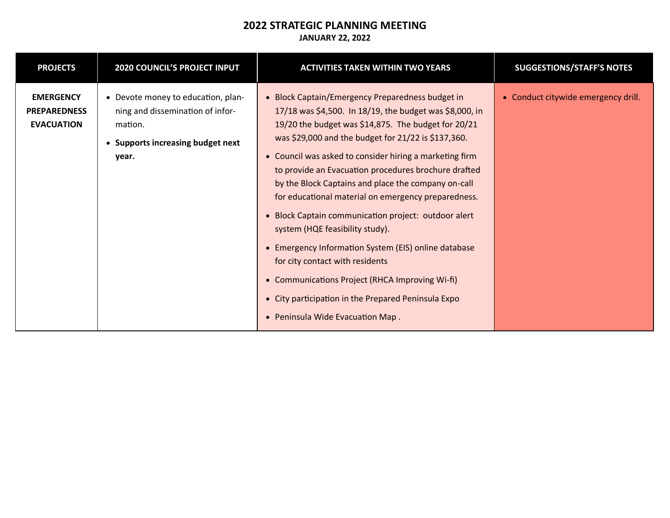#### **2022 STRATEGIC PLANNING MEETING JANUARY 22, 2022**

| <b>PROJECTS</b>                                              | <b>2020 COUNCIL'S PROJECT INPUT</b>                                                                                             | <b>ACTIVITIES TAKEN WITHIN TWO YEARS</b>                                                                                                                                                                                                                                                                                                                                                                                                                                                                                                                                                                                                                                                                                                                                                       | <b>SUGGESTIONS/STAFF'S NOTES</b>    |
|--------------------------------------------------------------|---------------------------------------------------------------------------------------------------------------------------------|------------------------------------------------------------------------------------------------------------------------------------------------------------------------------------------------------------------------------------------------------------------------------------------------------------------------------------------------------------------------------------------------------------------------------------------------------------------------------------------------------------------------------------------------------------------------------------------------------------------------------------------------------------------------------------------------------------------------------------------------------------------------------------------------|-------------------------------------|
| <b>EMERGENCY</b><br><b>PREPAREDNESS</b><br><b>EVACUATION</b> | • Devote money to education, plan-<br>ning and dissemination of infor-<br>mation.<br>• Supports increasing budget next<br>year. | • Block Captain/Emergency Preparedness budget in<br>17/18 was \$4,500. In 18/19, the budget was \$8,000, in<br>19/20 the budget was \$14,875. The budget for 20/21<br>was \$29,000 and the budget for 21/22 is \$137,360.<br>• Council was asked to consider hiring a marketing firm<br>to provide an Evacuation procedures brochure drafted<br>by the Block Captains and place the company on-call<br>for educational material on emergency preparedness.<br>• Block Captain communication project: outdoor alert<br>system (HQE feasibility study).<br>• Emergency Information System (EIS) online database<br>for city contact with residents<br>• Communications Project (RHCA Improving Wi-fi)<br>• City participation in the Prepared Peninsula Expo<br>• Peninsula Wide Evacuation Map. | • Conduct citywide emergency drill. |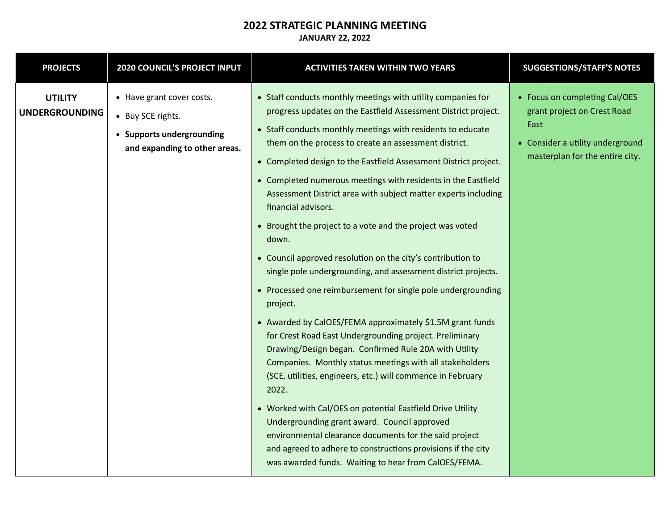| <b>PROJECTS</b>                         | 2020 COUNCIL'S PROJECT INPUT                                                                                 | <b>ACTIVITIES TAKEN WITHIN TWO YEARS</b>                                                                                                                                                                                                                                                                                                                                                                                                                                                                                                                                                                                                                                                                                                                                                                                                                                                                                                                                                                                                                                                                                                                                                                                                                                                                                                                                                    | <b>SUGGESTIONS/STAFF'S NOTES</b>                                                                                                            |
|-----------------------------------------|--------------------------------------------------------------------------------------------------------------|---------------------------------------------------------------------------------------------------------------------------------------------------------------------------------------------------------------------------------------------------------------------------------------------------------------------------------------------------------------------------------------------------------------------------------------------------------------------------------------------------------------------------------------------------------------------------------------------------------------------------------------------------------------------------------------------------------------------------------------------------------------------------------------------------------------------------------------------------------------------------------------------------------------------------------------------------------------------------------------------------------------------------------------------------------------------------------------------------------------------------------------------------------------------------------------------------------------------------------------------------------------------------------------------------------------------------------------------------------------------------------------------|---------------------------------------------------------------------------------------------------------------------------------------------|
| <b>UTILITY</b><br><b>UNDERGROUNDING</b> | • Have grant cover costs.<br>• Buy SCE rights.<br>• Supports undergrounding<br>and expanding to other areas. | • Staff conducts monthly meetings with utility companies for<br>progress updates on the Eastfield Assessment District project.<br>• Staff conducts monthly meetings with residents to educate<br>them on the process to create an assessment district.<br>• Completed design to the Eastfield Assessment District project.<br>• Completed numerous meetings with residents in the Eastfield<br>Assessment District area with subject matter experts including<br>financial advisors.<br>• Brought the project to a vote and the project was voted<br>down.<br>• Council approved resolution on the city's contribution to<br>single pole undergrounding, and assessment district projects.<br>• Processed one reimbursement for single pole undergrounding<br>project.<br>• Awarded by CalOES/FEMA approximately \$1.5M grant funds<br>for Crest Road East Undergrounding project. Preliminary<br>Drawing/Design began. Confirmed Rule 20A with Utility<br>Companies. Monthly status meetings with all stakeholders<br>(SCE, utilities, engineers, etc.) will commence in February<br>2022.<br>• Worked with Cal/OES on potential Eastfield Drive Utility<br>Undergrounding grant award. Council approved<br>environmental clearance documents for the said project<br>and agreed to adhere to constructions provisions if the city<br>was awarded funds. Waiting to hear from CalOES/FEMA. | • Focus on completing Cal/OES<br>grant project on Crest Road<br>East<br>• Consider a utility underground<br>masterplan for the entire city. |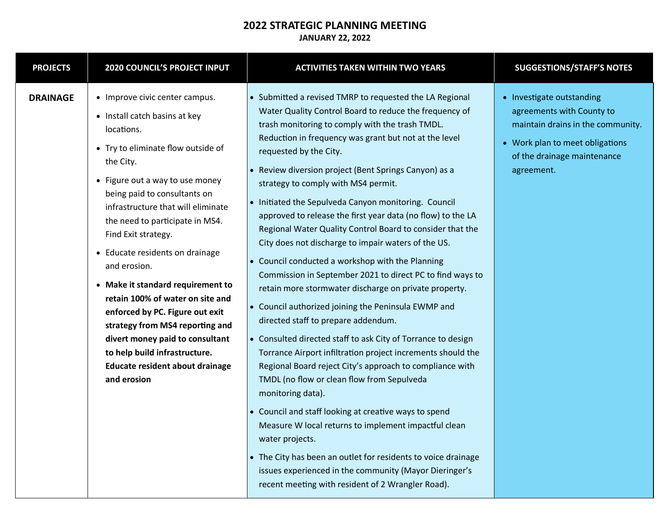| <b>PROJECTS</b> | 2020 COUNCIL'S PROJECT INPUT                                                                                                                                                                                                                                                                                                                                                                                                                                                                                                                                                                                                | <b>ACTIVITIES TAKEN WITHIN TWO YEARS</b>                                                                                                                                                                                                                                                                                                                                                                                                                                                                                                                                                                                                                                                                                                                                                                                                                                                                                                                                                                                                                                                                                                                                                                                                                                                                                                                                                                                                                     | <b>SUGGESTIONS/STAFF'S NOTES</b>                                                                                                                                            |
|-----------------|-----------------------------------------------------------------------------------------------------------------------------------------------------------------------------------------------------------------------------------------------------------------------------------------------------------------------------------------------------------------------------------------------------------------------------------------------------------------------------------------------------------------------------------------------------------------------------------------------------------------------------|--------------------------------------------------------------------------------------------------------------------------------------------------------------------------------------------------------------------------------------------------------------------------------------------------------------------------------------------------------------------------------------------------------------------------------------------------------------------------------------------------------------------------------------------------------------------------------------------------------------------------------------------------------------------------------------------------------------------------------------------------------------------------------------------------------------------------------------------------------------------------------------------------------------------------------------------------------------------------------------------------------------------------------------------------------------------------------------------------------------------------------------------------------------------------------------------------------------------------------------------------------------------------------------------------------------------------------------------------------------------------------------------------------------------------------------------------------------|-----------------------------------------------------------------------------------------------------------------------------------------------------------------------------|
| <b>DRAINAGE</b> | • Improve civic center campus.<br>• Install catch basins at key<br>locations.<br>• Try to eliminate flow outside of<br>the City.<br>• Figure out a way to use money<br>being paid to consultants on<br>infrastructure that will eliminate<br>the need to participate in MS4.<br>Find Exit strategy.<br>• Educate residents on drainage<br>and erosion.<br>• Make it standard requirement to<br>retain 100% of water on site and<br>enforced by PC. Figure out exit<br>strategy from MS4 reporting and<br>divert money paid to consultant<br>to help build infrastructure.<br>Educate resident about drainage<br>and erosion | • Submitted a revised TMRP to requested the LA Regional<br>Water Quality Control Board to reduce the frequency of<br>trash monitoring to comply with the trash TMDL.<br>Reduction in frequency was grant but not at the level<br>requested by the City.<br>• Review diversion project (Bent Springs Canyon) as a<br>strategy to comply with MS4 permit.<br>• Initiated the Sepulveda Canyon monitoring. Council<br>approved to release the first year data (no flow) to the LA<br>Regional Water Quality Control Board to consider that the<br>City does not discharge to impair waters of the US.<br>• Council conducted a workshop with the Planning<br>Commission in September 2021 to direct PC to find ways to<br>retain more stormwater discharge on private property.<br>• Council authorized joining the Peninsula EWMP and<br>directed staff to prepare addendum.<br>• Consulted directed staff to ask City of Torrance to design<br>Torrance Airport infiltration project increments should the<br>Regional Board reject City's approach to compliance with<br>TMDL (no flow or clean flow from Sepulveda<br>monitoring data).<br>• Council and staff looking at creative ways to spend<br>Measure W local returns to implement impactful clean<br>water projects.<br>• The City has been an outlet for residents to voice drainage<br>issues experienced in the community (Mayor Dieringer's<br>recent meeting with resident of 2 Wrangler Road). | • Investigate outstanding<br>agreements with County to<br>maintain drains in the community.<br>• Work plan to meet obligations<br>of the drainage maintenance<br>agreement. |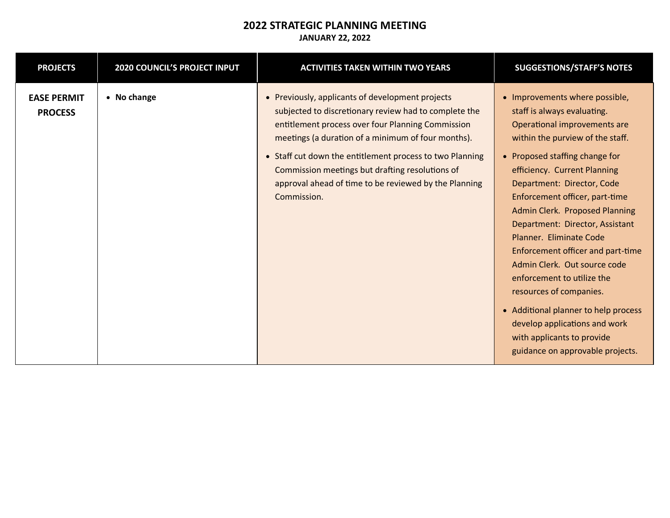| <b>PROJECTS</b>                      | <b>2020 COUNCIL'S PROJECT INPUT</b> | <b>ACTIVITIES TAKEN WITHIN TWO YEARS</b>                                                                                                                                                                                                                                                                                                                                                                    | <b>SUGGESTIONS/STAFF'S NOTES</b>                                                                                                                                                                                                                                                                                                                                                                                                                                                                                                                                                                                                             |
|--------------------------------------|-------------------------------------|-------------------------------------------------------------------------------------------------------------------------------------------------------------------------------------------------------------------------------------------------------------------------------------------------------------------------------------------------------------------------------------------------------------|----------------------------------------------------------------------------------------------------------------------------------------------------------------------------------------------------------------------------------------------------------------------------------------------------------------------------------------------------------------------------------------------------------------------------------------------------------------------------------------------------------------------------------------------------------------------------------------------------------------------------------------------|
| <b>EASE PERMIT</b><br><b>PROCESS</b> | • No change                         | • Previously, applicants of development projects<br>subjected to discretionary review had to complete the<br>entitlement process over four Planning Commission<br>meetings (a duration of a minimum of four months).<br>• Staff cut down the entitlement process to two Planning<br>Commission meetings but drafting resolutions of<br>approval ahead of time to be reviewed by the Planning<br>Commission. | • Improvements where possible,<br>staff is always evaluating.<br>Operational improvements are<br>within the purview of the staff.<br>• Proposed staffing change for<br>efficiency. Current Planning<br>Department: Director, Code<br>Enforcement officer, part-time<br>Admin Clerk. Proposed Planning<br>Department: Director, Assistant<br>Planner. Eliminate Code<br>Enforcement officer and part-time<br>Admin Clerk. Out source code<br>enforcement to utilize the<br>resources of companies.<br>• Additional planner to help process<br>develop applications and work<br>with applicants to provide<br>guidance on approvable projects. |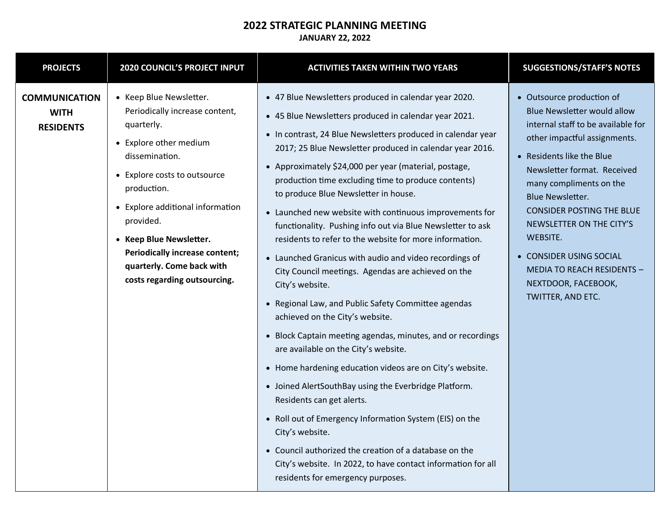#### **2022 STRATEGIC PLANNING MEETING JANUARY 22, 2022**

| <b>PROJECTS</b>                                         | 2020 COUNCIL'S PROJECT INPUT                                                                                                                                                                                                                                                                                                                         | <b>ACTIVITIES TAKEN WITHIN TWO YEARS</b>                                                                                                                                                                                                                                                                                                                                                                                                                                                                                                                                                                                                                                                                                                                                                                                                                                                                                                                                                                                                                                                                                                                                                                                                                                                                                  | <b>SUGGESTIONS/STAFF'S NOTES</b>                                                                                                                                                                                                                                                                                                                                                                                                                |
|---------------------------------------------------------|------------------------------------------------------------------------------------------------------------------------------------------------------------------------------------------------------------------------------------------------------------------------------------------------------------------------------------------------------|---------------------------------------------------------------------------------------------------------------------------------------------------------------------------------------------------------------------------------------------------------------------------------------------------------------------------------------------------------------------------------------------------------------------------------------------------------------------------------------------------------------------------------------------------------------------------------------------------------------------------------------------------------------------------------------------------------------------------------------------------------------------------------------------------------------------------------------------------------------------------------------------------------------------------------------------------------------------------------------------------------------------------------------------------------------------------------------------------------------------------------------------------------------------------------------------------------------------------------------------------------------------------------------------------------------------------|-------------------------------------------------------------------------------------------------------------------------------------------------------------------------------------------------------------------------------------------------------------------------------------------------------------------------------------------------------------------------------------------------------------------------------------------------|
| <b>COMMUNICATION</b><br><b>WITH</b><br><b>RESIDENTS</b> | • Keep Blue Newsletter.<br>Periodically increase content,<br>quarterly.<br>• Explore other medium<br>dissemination.<br>• Explore costs to outsource<br>production.<br>• Explore additional information<br>provided.<br>• Keep Blue Newsletter.<br><b>Periodically increase content;</b><br>quarterly. Come back with<br>costs regarding outsourcing. | • 47 Blue Newsletters produced in calendar year 2020.<br>• 45 Blue Newsletters produced in calendar year 2021.<br>• In contrast, 24 Blue Newsletters produced in calendar year<br>2017; 25 Blue Newsletter produced in calendar year 2016.<br>• Approximately \$24,000 per year (material, postage,<br>production time excluding time to produce contents)<br>to produce Blue Newsletter in house.<br>• Launched new website with continuous improvements for<br>functionality. Pushing info out via Blue Newsletter to ask<br>residents to refer to the website for more information.<br>• Launched Granicus with audio and video recordings of<br>City Council meetings. Agendas are achieved on the<br>City's website.<br>• Regional Law, and Public Safety Committee agendas<br>achieved on the City's website.<br>• Block Captain meeting agendas, minutes, and or recordings<br>are available on the City's website.<br>• Home hardening education videos are on City's website.<br>• Joined AlertSouthBay using the Everbridge Platform.<br>Residents can get alerts.<br>• Roll out of Emergency Information System (EIS) on the<br>City's website.<br>• Council authorized the creation of a database on the<br>City's website. In 2022, to have contact information for all<br>residents for emergency purposes. | • Outsource production of<br><b>Blue Newsletter would allow</b><br>internal staff to be available for<br>other impactful assignments.<br>• Residents like the Blue<br>Newsletter format. Received<br>many compliments on the<br><b>Blue Newsletter.</b><br><b>CONSIDER POSTING THE BLUE</b><br>NEWSLETTER ON THE CITY'S<br>WEBSITE.<br>• CONSIDER USING SOCIAL<br><b>MEDIA TO REACH RESIDENTS -</b><br>NEXTDOOR, FACEBOOK,<br>TWITTER, AND ETC. |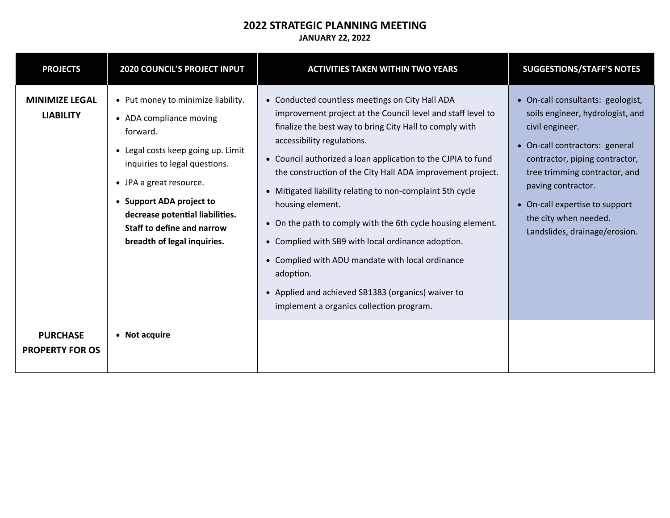| <b>PROJECTS</b>                           | <b>2020 COUNCIL'S PROJECT INPUT</b>                                                                                                                                                                                                                                                                            | <b>ACTIVITIES TAKEN WITHIN TWO YEARS</b>                                                                                                                                                                                                                                                                                                                                                                                                                                                                                                                                                                                                                                                                                                      | <b>SUGGESTIONS/STAFF'S NOTES</b>                                                                                                                                                                                                                                                                                |
|-------------------------------------------|----------------------------------------------------------------------------------------------------------------------------------------------------------------------------------------------------------------------------------------------------------------------------------------------------------------|-----------------------------------------------------------------------------------------------------------------------------------------------------------------------------------------------------------------------------------------------------------------------------------------------------------------------------------------------------------------------------------------------------------------------------------------------------------------------------------------------------------------------------------------------------------------------------------------------------------------------------------------------------------------------------------------------------------------------------------------------|-----------------------------------------------------------------------------------------------------------------------------------------------------------------------------------------------------------------------------------------------------------------------------------------------------------------|
| <b>MINIMIZE LEGAL</b><br><b>LIABILITY</b> | • Put money to minimize liability.<br>• ADA compliance moving<br>forward.<br>• Legal costs keep going up. Limit<br>inquiries to legal questions.<br>• JPA a great resource.<br>• Support ADA project to<br>decrease potential liabilities.<br><b>Staff to define and narrow</b><br>breadth of legal inquiries. | Conducted countless meetings on City Hall ADA<br>$\bullet$<br>improvement project at the Council level and staff level to<br>finalize the best way to bring City Hall to comply with<br>accessibility regulations.<br>• Council authorized a loan application to the CJPIA to fund<br>the construction of the City Hall ADA improvement project.<br>Mitigated liability relating to non-complaint 5th cycle<br>$\bullet$<br>housing element.<br>On the path to comply with the 6th cycle housing element.<br>Complied with SB9 with local ordinance adoption.<br>$\bullet$<br>• Complied with ADU mandate with local ordinance<br>adoption.<br>• Applied and achieved SB1383 (organics) waiver to<br>implement a organics collection program. | • On-call consultants: geologist,<br>soils engineer, hydrologist, and<br>civil engineer.<br>• On-call contractors: general<br>contractor, piping contractor,<br>tree trimming contractor, and<br>paving contractor.<br>• On-call expertise to support<br>the city when needed.<br>Landslides, drainage/erosion. |
| <b>PURCHASE</b><br><b>PROPERTY FOR OS</b> | • Not acquire                                                                                                                                                                                                                                                                                                  |                                                                                                                                                                                                                                                                                                                                                                                                                                                                                                                                                                                                                                                                                                                                               |                                                                                                                                                                                                                                                                                                                 |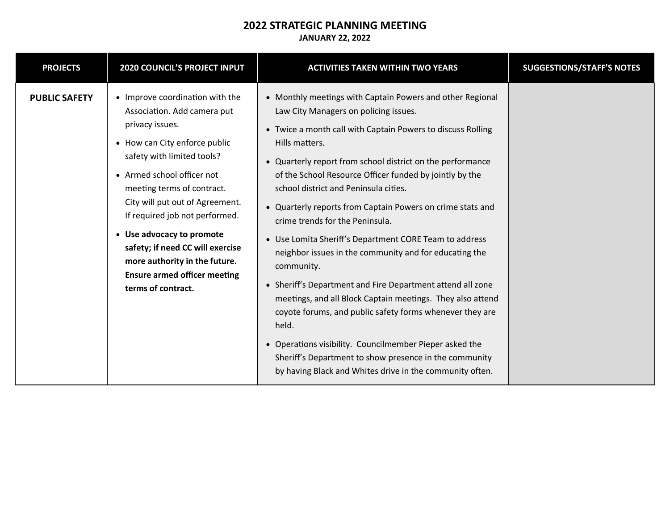| <b>PROJECTS</b>      | 2020 COUNCIL'S PROJECT INPUT                                                                                                                                                                                                                                                                                                                                                                                                                     | <b>ACTIVITIES TAKEN WITHIN TWO YEARS</b>                                                                                                                                                                                                                                                                                                                                                                                                                                                                                                                                                                                                                                                                                                                                                                                                                                                                                                                                   | <b>SUGGESTIONS/STAFF'S NOTES</b> |
|----------------------|--------------------------------------------------------------------------------------------------------------------------------------------------------------------------------------------------------------------------------------------------------------------------------------------------------------------------------------------------------------------------------------------------------------------------------------------------|----------------------------------------------------------------------------------------------------------------------------------------------------------------------------------------------------------------------------------------------------------------------------------------------------------------------------------------------------------------------------------------------------------------------------------------------------------------------------------------------------------------------------------------------------------------------------------------------------------------------------------------------------------------------------------------------------------------------------------------------------------------------------------------------------------------------------------------------------------------------------------------------------------------------------------------------------------------------------|----------------------------------|
| <b>PUBLIC SAFETY</b> | • Improve coordination with the<br>Association. Add camera put<br>privacy issues.<br>• How can City enforce public<br>safety with limited tools?<br>• Armed school officer not<br>meeting terms of contract.<br>City will put out of Agreement.<br>If required job not performed.<br>• Use advocacy to promote<br>safety; if need CC will exercise<br>more authority in the future.<br><b>Ensure armed officer meeting</b><br>terms of contract. | • Monthly meetings with Captain Powers and other Regional<br>Law City Managers on policing issues.<br>• Twice a month call with Captain Powers to discuss Rolling<br>Hills matters.<br>• Quarterly report from school district on the performance<br>of the School Resource Officer funded by jointly by the<br>school district and Peninsula cities.<br>• Quarterly reports from Captain Powers on crime stats and<br>crime trends for the Peninsula.<br>• Use Lomita Sheriff's Department CORE Team to address<br>neighbor issues in the community and for educating the<br>community.<br>• Sheriff's Department and Fire Department attend all zone<br>meetings, and all Block Captain meetings. They also attend<br>coyote forums, and public safety forms whenever they are<br>held.<br>• Operations visibility. Councilmember Pieper asked the<br>Sheriff's Department to show presence in the community<br>by having Black and Whites drive in the community often. |                                  |